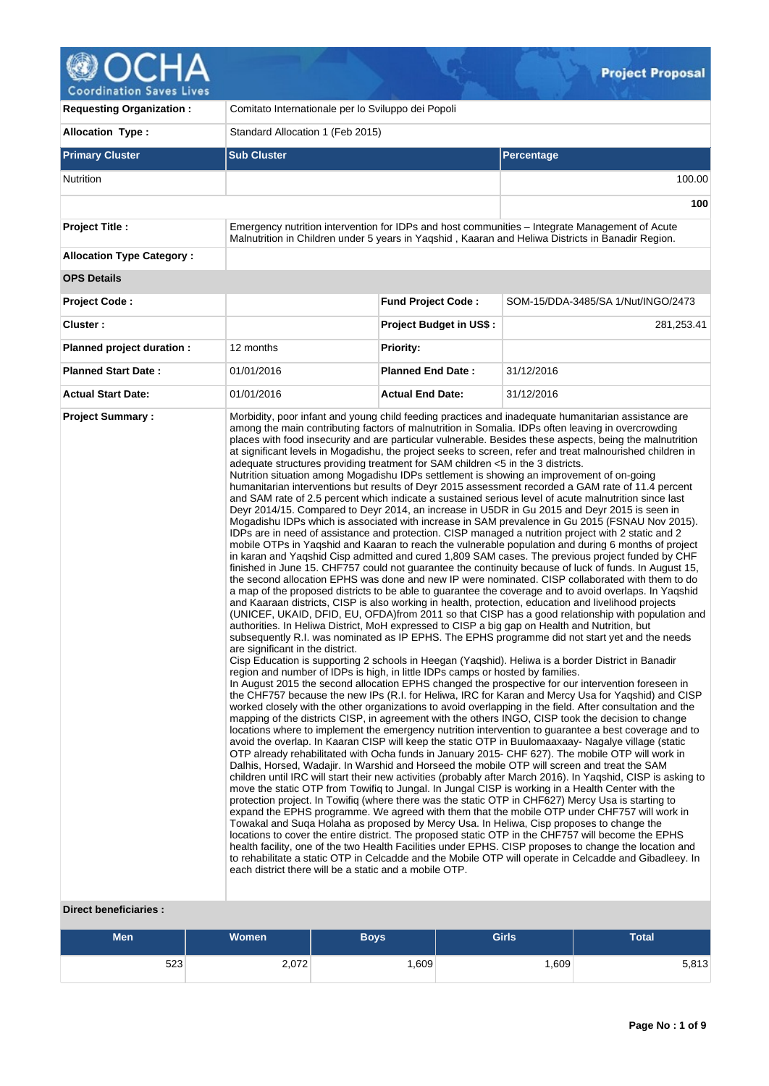# C

**Coordination Saves Lives** 

| <b>Requesting Organization:</b>  | Comitato Internationale per lo Sviluppo dei Popoli                                                                                                                                                                                                              |                                |                                                                                                                                                                                                                                                                                                                                                                                                                                                                                                                                                                                                                                                                                                                                                                                                                                                                                                                                                                                                                                                                                                                                                                                                                                                                                                                                                                                                                                                                                                                                                                                                                                                                                                                                                                                                                                                                                                                                                                                                                                                                                                                                                                                                                                                                                                                                                                                                                                                                                                                                                                                                                                                                                                                                                                                                                                                                                                                                                                                                                                                                                                                                                                                                                                                                                                                                                                                                                                                                                                                                                                                                                                                                                                                 |  |  |  |  |  |
|----------------------------------|-----------------------------------------------------------------------------------------------------------------------------------------------------------------------------------------------------------------------------------------------------------------|--------------------------------|-----------------------------------------------------------------------------------------------------------------------------------------------------------------------------------------------------------------------------------------------------------------------------------------------------------------------------------------------------------------------------------------------------------------------------------------------------------------------------------------------------------------------------------------------------------------------------------------------------------------------------------------------------------------------------------------------------------------------------------------------------------------------------------------------------------------------------------------------------------------------------------------------------------------------------------------------------------------------------------------------------------------------------------------------------------------------------------------------------------------------------------------------------------------------------------------------------------------------------------------------------------------------------------------------------------------------------------------------------------------------------------------------------------------------------------------------------------------------------------------------------------------------------------------------------------------------------------------------------------------------------------------------------------------------------------------------------------------------------------------------------------------------------------------------------------------------------------------------------------------------------------------------------------------------------------------------------------------------------------------------------------------------------------------------------------------------------------------------------------------------------------------------------------------------------------------------------------------------------------------------------------------------------------------------------------------------------------------------------------------------------------------------------------------------------------------------------------------------------------------------------------------------------------------------------------------------------------------------------------------------------------------------------------------------------------------------------------------------------------------------------------------------------------------------------------------------------------------------------------------------------------------------------------------------------------------------------------------------------------------------------------------------------------------------------------------------------------------------------------------------------------------------------------------------------------------------------------------------------------------------------------------------------------------------------------------------------------------------------------------------------------------------------------------------------------------------------------------------------------------------------------------------------------------------------------------------------------------------------------------------------------------------------------------------------------------------------------------|--|--|--|--|--|
| <b>Allocation Type:</b>          | Standard Allocation 1 (Feb 2015)                                                                                                                                                                                                                                |                                |                                                                                                                                                                                                                                                                                                                                                                                                                                                                                                                                                                                                                                                                                                                                                                                                                                                                                                                                                                                                                                                                                                                                                                                                                                                                                                                                                                                                                                                                                                                                                                                                                                                                                                                                                                                                                                                                                                                                                                                                                                                                                                                                                                                                                                                                                                                                                                                                                                                                                                                                                                                                                                                                                                                                                                                                                                                                                                                                                                                                                                                                                                                                                                                                                                                                                                                                                                                                                                                                                                                                                                                                                                                                                                                 |  |  |  |  |  |
| <b>Primary Cluster</b>           | <b>Sub Cluster</b>                                                                                                                                                                                                                                              |                                | Percentage                                                                                                                                                                                                                                                                                                                                                                                                                                                                                                                                                                                                                                                                                                                                                                                                                                                                                                                                                                                                                                                                                                                                                                                                                                                                                                                                                                                                                                                                                                                                                                                                                                                                                                                                                                                                                                                                                                                                                                                                                                                                                                                                                                                                                                                                                                                                                                                                                                                                                                                                                                                                                                                                                                                                                                                                                                                                                                                                                                                                                                                                                                                                                                                                                                                                                                                                                                                                                                                                                                                                                                                                                                                                                                      |  |  |  |  |  |
| Nutrition                        |                                                                                                                                                                                                                                                                 |                                | 100.00                                                                                                                                                                                                                                                                                                                                                                                                                                                                                                                                                                                                                                                                                                                                                                                                                                                                                                                                                                                                                                                                                                                                                                                                                                                                                                                                                                                                                                                                                                                                                                                                                                                                                                                                                                                                                                                                                                                                                                                                                                                                                                                                                                                                                                                                                                                                                                                                                                                                                                                                                                                                                                                                                                                                                                                                                                                                                                                                                                                                                                                                                                                                                                                                                                                                                                                                                                                                                                                                                                                                                                                                                                                                                                          |  |  |  |  |  |
|                                  |                                                                                                                                                                                                                                                                 |                                | 100                                                                                                                                                                                                                                                                                                                                                                                                                                                                                                                                                                                                                                                                                                                                                                                                                                                                                                                                                                                                                                                                                                                                                                                                                                                                                                                                                                                                                                                                                                                                                                                                                                                                                                                                                                                                                                                                                                                                                                                                                                                                                                                                                                                                                                                                                                                                                                                                                                                                                                                                                                                                                                                                                                                                                                                                                                                                                                                                                                                                                                                                                                                                                                                                                                                                                                                                                                                                                                                                                                                                                                                                                                                                                                             |  |  |  |  |  |
| <b>Project Title:</b>            |                                                                                                                                                                                                                                                                 |                                | Emergency nutrition intervention for IDPs and host communities – Integrate Management of Acute<br>Malnutrition in Children under 5 years in Yagshid, Kaaran and Heliwa Districts in Banadir Region.                                                                                                                                                                                                                                                                                                                                                                                                                                                                                                                                                                                                                                                                                                                                                                                                                                                                                                                                                                                                                                                                                                                                                                                                                                                                                                                                                                                                                                                                                                                                                                                                                                                                                                                                                                                                                                                                                                                                                                                                                                                                                                                                                                                                                                                                                                                                                                                                                                                                                                                                                                                                                                                                                                                                                                                                                                                                                                                                                                                                                                                                                                                                                                                                                                                                                                                                                                                                                                                                                                             |  |  |  |  |  |
| <b>Allocation Type Category:</b> |                                                                                                                                                                                                                                                                 |                                |                                                                                                                                                                                                                                                                                                                                                                                                                                                                                                                                                                                                                                                                                                                                                                                                                                                                                                                                                                                                                                                                                                                                                                                                                                                                                                                                                                                                                                                                                                                                                                                                                                                                                                                                                                                                                                                                                                                                                                                                                                                                                                                                                                                                                                                                                                                                                                                                                                                                                                                                                                                                                                                                                                                                                                                                                                                                                                                                                                                                                                                                                                                                                                                                                                                                                                                                                                                                                                                                                                                                                                                                                                                                                                                 |  |  |  |  |  |
| <b>OPS Details</b>               |                                                                                                                                                                                                                                                                 |                                |                                                                                                                                                                                                                                                                                                                                                                                                                                                                                                                                                                                                                                                                                                                                                                                                                                                                                                                                                                                                                                                                                                                                                                                                                                                                                                                                                                                                                                                                                                                                                                                                                                                                                                                                                                                                                                                                                                                                                                                                                                                                                                                                                                                                                                                                                                                                                                                                                                                                                                                                                                                                                                                                                                                                                                                                                                                                                                                                                                                                                                                                                                                                                                                                                                                                                                                                                                                                                                                                                                                                                                                                                                                                                                                 |  |  |  |  |  |
| <b>Project Code:</b>             |                                                                                                                                                                                                                                                                 | <b>Fund Project Code:</b>      | SOM-15/DDA-3485/SA 1/Nut/INGO/2473                                                                                                                                                                                                                                                                                                                                                                                                                                                                                                                                                                                                                                                                                                                                                                                                                                                                                                                                                                                                                                                                                                                                                                                                                                                                                                                                                                                                                                                                                                                                                                                                                                                                                                                                                                                                                                                                                                                                                                                                                                                                                                                                                                                                                                                                                                                                                                                                                                                                                                                                                                                                                                                                                                                                                                                                                                                                                                                                                                                                                                                                                                                                                                                                                                                                                                                                                                                                                                                                                                                                                                                                                                                                              |  |  |  |  |  |
| Cluster:                         |                                                                                                                                                                                                                                                                 | <b>Project Budget in US\$:</b> | 281,253.41                                                                                                                                                                                                                                                                                                                                                                                                                                                                                                                                                                                                                                                                                                                                                                                                                                                                                                                                                                                                                                                                                                                                                                                                                                                                                                                                                                                                                                                                                                                                                                                                                                                                                                                                                                                                                                                                                                                                                                                                                                                                                                                                                                                                                                                                                                                                                                                                                                                                                                                                                                                                                                                                                                                                                                                                                                                                                                                                                                                                                                                                                                                                                                                                                                                                                                                                                                                                                                                                                                                                                                                                                                                                                                      |  |  |  |  |  |
| Planned project duration :       | 12 months                                                                                                                                                                                                                                                       | <b>Priority:</b>               |                                                                                                                                                                                                                                                                                                                                                                                                                                                                                                                                                                                                                                                                                                                                                                                                                                                                                                                                                                                                                                                                                                                                                                                                                                                                                                                                                                                                                                                                                                                                                                                                                                                                                                                                                                                                                                                                                                                                                                                                                                                                                                                                                                                                                                                                                                                                                                                                                                                                                                                                                                                                                                                                                                                                                                                                                                                                                                                                                                                                                                                                                                                                                                                                                                                                                                                                                                                                                                                                                                                                                                                                                                                                                                                 |  |  |  |  |  |
| <b>Planned Start Date:</b>       | 01/01/2016                                                                                                                                                                                                                                                      | <b>Planned End Date:</b>       | 31/12/2016                                                                                                                                                                                                                                                                                                                                                                                                                                                                                                                                                                                                                                                                                                                                                                                                                                                                                                                                                                                                                                                                                                                                                                                                                                                                                                                                                                                                                                                                                                                                                                                                                                                                                                                                                                                                                                                                                                                                                                                                                                                                                                                                                                                                                                                                                                                                                                                                                                                                                                                                                                                                                                                                                                                                                                                                                                                                                                                                                                                                                                                                                                                                                                                                                                                                                                                                                                                                                                                                                                                                                                                                                                                                                                      |  |  |  |  |  |
| <b>Actual Start Date:</b>        | 01/01/2016                                                                                                                                                                                                                                                      | <b>Actual End Date:</b>        | 31/12/2016                                                                                                                                                                                                                                                                                                                                                                                                                                                                                                                                                                                                                                                                                                                                                                                                                                                                                                                                                                                                                                                                                                                                                                                                                                                                                                                                                                                                                                                                                                                                                                                                                                                                                                                                                                                                                                                                                                                                                                                                                                                                                                                                                                                                                                                                                                                                                                                                                                                                                                                                                                                                                                                                                                                                                                                                                                                                                                                                                                                                                                                                                                                                                                                                                                                                                                                                                                                                                                                                                                                                                                                                                                                                                                      |  |  |  |  |  |
| Direct beneficiaries :           | adequate structures providing treatment for SAM children <5 in the 3 districts.<br>are significant in the district.<br>region and number of IDPs is high, in little IDPs camps or hosted by families.<br>each district there will be a static and a mobile OTP. |                                | among the main contributing factors of malnutrition in Somalia. IDPs often leaving in overcrowding<br>places with food insecurity and are particular vulnerable. Besides these aspects, being the malnutrition<br>at significant levels in Mogadishu, the project seeks to screen, refer and treat malnourished children in<br>Nutrition situation among Mogadishu IDPs settlement is showing an improvement of on-going<br>humanitarian interventions but results of Deyr 2015 assessment recorded a GAM rate of 11.4 percent<br>and SAM rate of 2.5 percent which indicate a sustained serious level of acute malnutrition since last<br>Deyr 2014/15. Compared to Deyr 2014, an increase in U5DR in Gu 2015 and Deyr 2015 is seen in<br>Mogadishu IDPs which is associated with increase in SAM prevalence in Gu 2015 (FSNAU Nov 2015).<br>IDPs are in need of assistance and protection. CISP managed a nutrition project with 2 static and 2<br>mobile OTPs in Yaqshid and Kaaran to reach the vulnerable population and during 6 months of project<br>in karan and Yaqshid Cisp admitted and cured 1,809 SAM cases. The previous project funded by CHF<br>finished in June 15. CHF757 could not guarantee the continuity because of luck of funds. In August 15,<br>the second allocation EPHS was done and new IP were nominated. CISP collaborated with them to do<br>a map of the proposed districts to be able to guarantee the coverage and to avoid overlaps. In Yaqshid<br>and Kaaraan districts, CISP is also working in health, protection, education and livelihood projects<br>(UNICEF, UKAID, DFID, EU, OFDA) from 2011 so that CISP has a good relationship with population and<br>authorities. In Heliwa District, MoH expressed to CISP a big gap on Health and Nutrition, but<br>subsequently R.I. was nominated as IP EPHS. The EPHS programme did not start yet and the needs<br>Cisp Education is supporting 2 schools in Heegan (Yaqshid). Heliwa is a border District in Banadir<br>In August 2015 the second allocation EPHS changed the prospective for our intervention foreseen in<br>the CHF757 because the new IPs (R.I. for Heliwa, IRC for Karan and Mercy Usa for Yagshid) and CISP<br>worked closely with the other organizations to avoid overlapping in the field. After consultation and the<br>mapping of the districts CISP, in agreement with the others INGO, CISP took the decision to change<br>locations where to implement the emergency nutrition intervention to guarantee a best coverage and to<br>avoid the overlap. In Kaaran CISP will keep the static OTP in Buulomaaxaay-Nagalye village (static<br>OTP already rehabilitated with Ocha funds in January 2015- CHF 627). The mobile OTP will work in<br>Dalhis, Horsed, Wadajir. In Warshid and Horseed the mobile OTP will screen and treat the SAM<br>children until IRC will start their new activities (probably after March 2016). In Yagshid, CISP is asking to<br>move the static OTP from Towifig to Jungal. In Jungal CISP is working in a Health Center with the<br>protection project. In Towifig (where there was the static OTP in CHF627) Mercy Usa is starting to<br>expand the EPHS programme. We agreed with them that the mobile OTP under CHF757 will work in<br>Towakal and Suga Holaha as proposed by Mercy Usa. In Heliwa, Cisp proposes to change the<br>locations to cover the entire district. The proposed static OTP in the CHF757 will become the EPHS<br>health facility, one of the two Health Facilities under EPHS. CISP proposes to change the location and<br>to rehabilitate a static OTP in Celcadde and the Mobile OTP will operate in Celcadde and Gibadleey. In |  |  |  |  |  |

## **Men Women Boys Girls Total** 523 2,072 1,609 1,609 5,813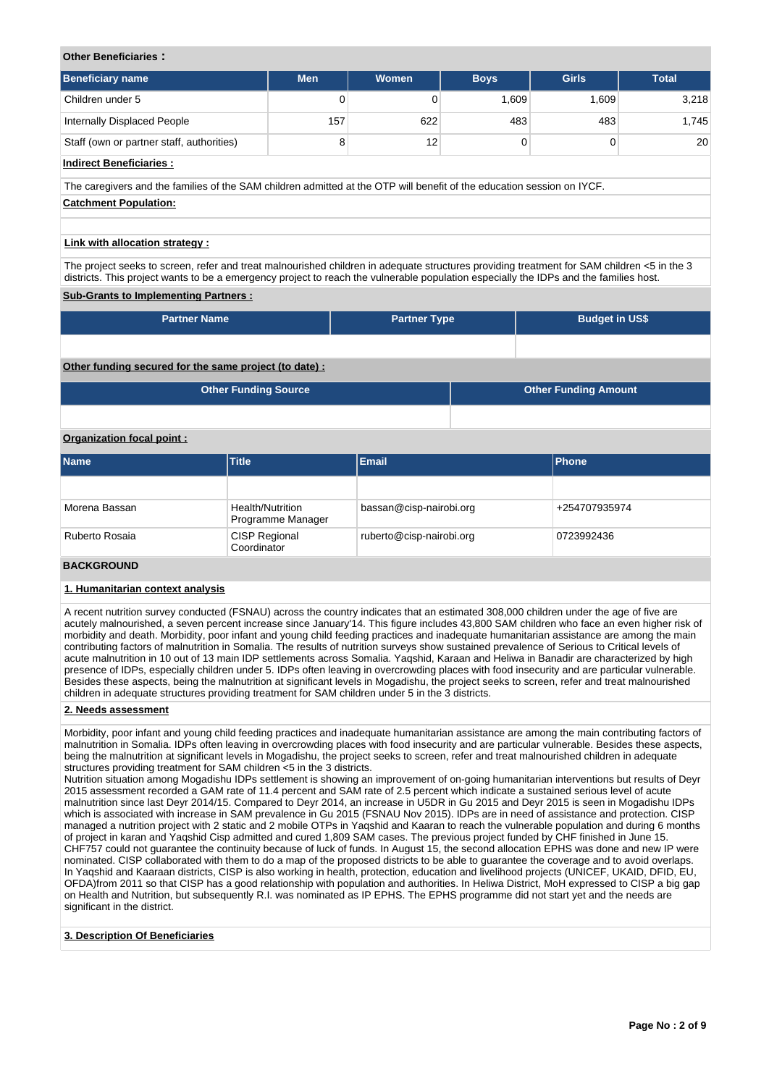## **Other Beneficiaries :**

| <b>Beneficiary name</b>                   | <b>Men</b> | Women | <b>Boys</b> | <b>Girls</b> | <b>Total</b> |
|-------------------------------------------|------------|-------|-------------|--------------|--------------|
| Children under 5                          | 0          |       | 1,609       | 1,609        | 3,218        |
| Internally Displaced People               | 157        | 622   | 483         | 483          | 1,745        |
| Staff (own or partner staff, authorities) | 8          | 12    |             |              | 20           |

## **Indirect Beneficiaries :**

The caregivers and the families of the SAM children admitted at the OTP will benefit of the education session on IYCF. **Catchment Population:**

## **Link with allocation strategy :**

The project seeks to screen, refer and treat malnourished children in adequate structures providing treatment for SAM children <5 in the 3 districts. This project wants to be a emergency project to reach the vulnerable population especially the IDPs and the families host.

## **Sub-Grants to Implementing Partners :**

| <b>Partner Name</b> | <b>Partner Type</b> | <b>Budget in US\$</b> |
|---------------------|---------------------|-----------------------|
|                     |                     |                       |

## **Other funding secured for the same project (to date) :**

| <b>Other Funding Source</b> | <b>Other Funding Amount</b> |
|-----------------------------|-----------------------------|
|                             |                             |

## **Organization focal point :**

| <b>Name</b>    | <b>Title</b>                          | <b>Email</b>             | <b>Phone</b>  |
|----------------|---------------------------------------|--------------------------|---------------|
|                |                                       |                          |               |
| Morena Bassan  | Health/Nutrition<br>Programme Manager | bassan@cisp-nairobi.org  | +254707935974 |
| Ruberto Rosaia | <b>CISP Regional</b><br>Coordinator   | ruberto@cisp-nairobi.org | 0723992436    |
|                |                                       |                          |               |

#### **BACKGROUND**

## **1. Humanitarian context analysis**

A recent nutrition survey conducted (FSNAU) across the country indicates that an estimated 308,000 children under the age of five are acutely malnourished, a seven percent increase since January'14. This figure includes 43,800 SAM children who face an even higher risk of morbidity and death. Morbidity, poor infant and young child feeding practices and inadequate humanitarian assistance are among the main contributing factors of malnutrition in Somalia. The results of nutrition surveys show sustained prevalence of Serious to Critical levels of acute malnutrition in 10 out of 13 main IDP settlements across Somalia. Yaqshid, Karaan and Heliwa in Banadir are characterized by high presence of IDPs, especially children under 5. IDPs often leaving in overcrowding places with food insecurity and are particular vulnerable. Besides these aspects, being the malnutrition at significant levels in Mogadishu, the project seeks to screen, refer and treat malnourished children in adequate structures providing treatment for SAM children under 5 in the 3 districts.

## **2. Needs assessment**

Morbidity, poor infant and young child feeding practices and inadequate humanitarian assistance are among the main contributing factors of malnutrition in Somalia. IDPs often leaving in overcrowding places with food insecurity and are particular vulnerable. Besides these aspects, being the malnutrition at significant levels in Mogadishu, the project seeks to screen, refer and treat malnourished children in adequate structures providing treatment for SAM children <5 in the 3 districts.

Nutrition situation among Mogadishu IDPs settlement is showing an improvement of on-going humanitarian interventions but results of Deyr 2015 assessment recorded a GAM rate of 11.4 percent and SAM rate of 2.5 percent which indicate a sustained serious level of acute malnutrition since last Deyr 2014/15. Compared to Deyr 2014, an increase in U5DR in Gu 2015 and Deyr 2015 is seen in Mogadishu IDPs which is associated with increase in SAM prevalence in Gu 2015 (FSNAU Nov 2015). IDPs are in need of assistance and protection. CISP managed a nutrition project with 2 static and 2 mobile OTPs in Yaqshid and Kaaran to reach the vulnerable population and during 6 months of project in karan and Yaqshid Cisp admitted and cured 1,809 SAM cases. The previous project funded by CHF finished in June 15. CHF757 could not guarantee the continuity because of luck of funds. In August 15, the second allocation EPHS was done and new IP were nominated. CISP collaborated with them to do a map of the proposed districts to be able to guarantee the coverage and to avoid overlaps. In Yaqshid and Kaaraan districts, CISP is also working in health, protection, education and livelihood projects (UNICEF, UKAID, DFID, EU, OFDA)from 2011 so that CISP has a good relationship with population and authorities. In Heliwa District, MoH expressed to CISP a big gap on Health and Nutrition, but subsequently R.I. was nominated as IP EPHS. The EPHS programme did not start yet and the needs are significant in the district.

## **3. Description Of Beneficiaries**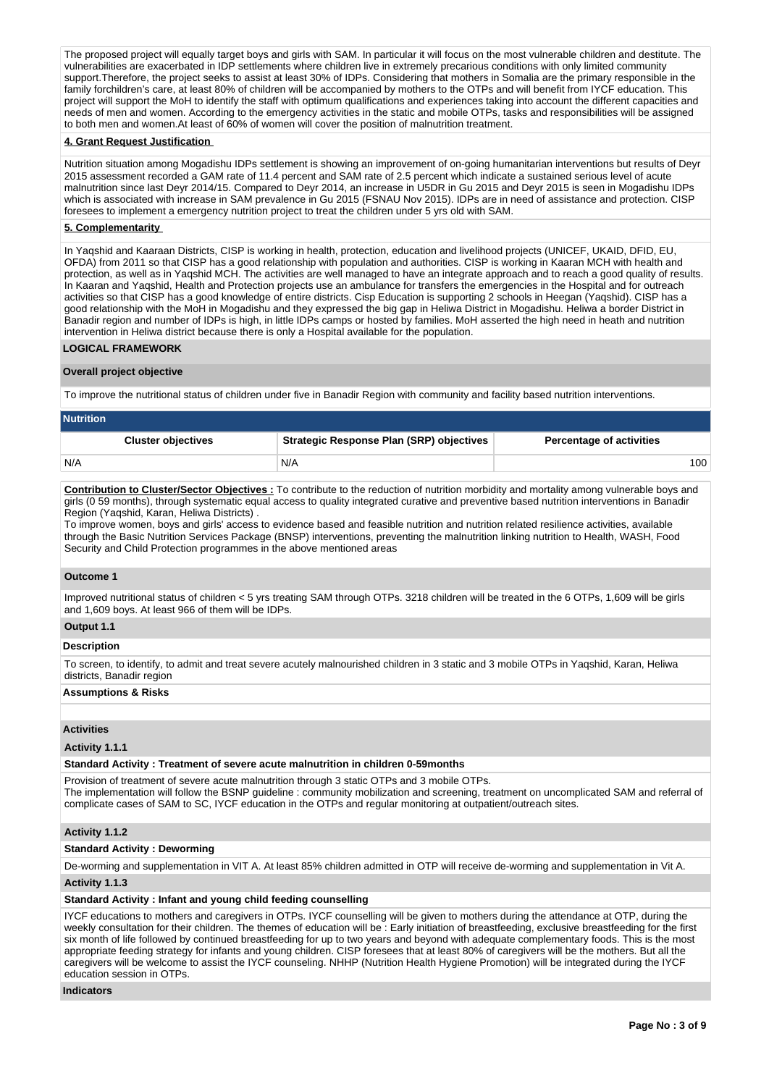The proposed project will equally target boys and girls with SAM. In particular it will focus on the most vulnerable children and destitute. The vulnerabilities are exacerbated in IDP settlements where children live in extremely precarious conditions with only limited community support.Therefore, the project seeks to assist at least 30% of IDPs. Considering that mothers in Somalia are the primary responsible in the family forchildren's care, at least 80% of children will be accompanied by mothers to the OTPs and will benefit from IYCF education. This project will support the MoH to identify the staff with optimum qualifications and experiences taking into account the different capacities and needs of men and women. According to the emergency activities in the static and mobile OTPs, tasks and responsibilities will be assigned to both men and women.At least of 60% of women will cover the position of malnutrition treatment.

## **4. Grant Request Justification**

Nutrition situation among Mogadishu IDPs settlement is showing an improvement of on-going humanitarian interventions but results of Deyr 2015 assessment recorded a GAM rate of 11.4 percent and SAM rate of 2.5 percent which indicate a sustained serious level of acute malnutrition since last Deyr 2014/15. Compared to Deyr 2014, an increase in U5DR in Gu 2015 and Deyr 2015 is seen in Mogadishu IDPs which is associated with increase in SAM prevalence in Gu 2015 (FSNAU Nov 2015). IDPs are in need of assistance and protection. CISP foresees to implement a emergency nutrition project to treat the children under 5 yrs old with SAM.

#### **5. Complementarity**

In Yaqshid and Kaaraan Districts, CISP is working in health, protection, education and livelihood projects (UNICEF, UKAID, DFID, EU, OFDA) from 2011 so that CISP has a good relationship with population and authorities. CISP is working in Kaaran MCH with health and protection, as well as in Yaqshid MCH. The activities are well managed to have an integrate approach and to reach a good quality of results. In Kaaran and Yaqshid, Health and Protection projects use an ambulance for transfers the emergencies in the Hospital and for outreach activities so that CISP has a good knowledge of entire districts. Cisp Education is supporting 2 schools in Heegan (Yaqshid). CISP has a good relationship with the MoH in Mogadishu and they expressed the big gap in Heliwa District in Mogadishu. Heliwa a border District in Banadir region and number of IDPs is high, in little IDPs camps or hosted by families. MoH asserted the high need in heath and nutrition intervention in Heliwa district because there is only a Hospital available for the population.

## **LOGICAL FRAMEWORK**

#### **Overall project objective**

To improve the nutritional status of children under five in Banadir Region with community and facility based nutrition interventions.

| <b>Nutrition</b>          |                                          |                                 |
|---------------------------|------------------------------------------|---------------------------------|
| <b>Cluster objectives</b> | Strategic Response Plan (SRP) objectives | <b>Percentage of activities</b> |
| N/A                       | N/A                                      | 100                             |

**Contribution to Cluster/Sector Objectives :** To contribute to the reduction of nutrition morbidity and mortality among vulnerable boys and girls (0 59 months), through systematic equal access to quality integrated curative and preventive based nutrition interventions in Banadir Region (Yaqshid, Karan, Heliwa Districts) .

To improve women, boys and girls' access to evidence based and feasible nutrition and nutrition related resilience activities, available through the Basic Nutrition Services Package (BNSP) interventions, preventing the malnutrition linking nutrition to Health, WASH, Food Security and Child Protection programmes in the above mentioned areas

#### **Outcome 1**

Improved nutritional status of children < 5 yrs treating SAM through OTPs. 3218 children will be treated in the 6 OTPs, 1,609 will be girls and 1,609 boys. At least 966 of them will be IDPs.

## **Output 1.1**

#### **Description**

To screen, to identify, to admit and treat severe acutely malnourished children in 3 static and 3 mobile OTPs in Yaqshid, Karan, Heliwa districts, Banadir region

#### **Assumptions & Risks**

## **Activities**

#### **Activity 1.1.1**

#### **Standard Activity : Treatment of severe acute malnutrition in children 0-59months**

Provision of treatment of severe acute malnutrition through 3 static OTPs and 3 mobile OTPs. The implementation will follow the BSNP guideline : community mobilization and screening, treatment on uncomplicated SAM and referral of complicate cases of SAM to SC, IYCF education in the OTPs and regular monitoring at outpatient/outreach sites.

#### **Activity 1.1.2**

#### **Standard Activity : Deworming**

De-worming and supplementation in VIT A. At least 85% children admitted in OTP will receive de-worming and supplementation in Vit A.

## **Activity 1.1.3**

## **Standard Activity : Infant and young child feeding counselling**

IYCF educations to mothers and caregivers in OTPs. IYCF counselling will be given to mothers during the attendance at OTP, during the weekly consultation for their children. The themes of education will be : Early initiation of breastfeeding, exclusive breastfeeding for the first six month of life followed by continued breastfeeding for up to two years and beyond with adequate complementary foods. This is the most appropriate feeding strategy for infants and young children. CISP foresees that at least 80% of caregivers will be the mothers. But all the caregivers will be welcome to assist the IYCF counseling. NHHP (Nutrition Health Hygiene Promotion) will be integrated during the IYCF education session in OTPs.

#### **Indicators**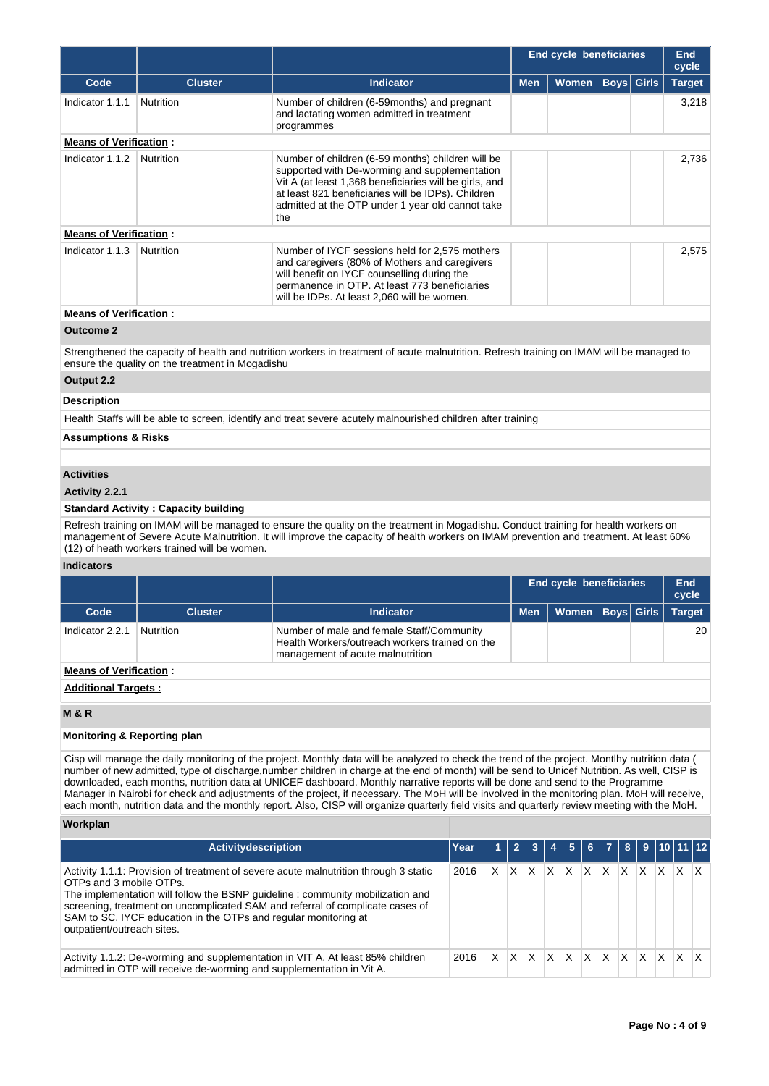|                               |                  |                                                                                                                                                                                                                                                                               | <b>End cycle beneficiaries</b> |              |  |                   | End<br>cycle  |
|-------------------------------|------------------|-------------------------------------------------------------------------------------------------------------------------------------------------------------------------------------------------------------------------------------------------------------------------------|--------------------------------|--------------|--|-------------------|---------------|
| Code                          | <b>Cluster</b>   | <b>Indicator</b>                                                                                                                                                                                                                                                              | <b>Men</b>                     | <b>Women</b> |  | <b>Boys</b> Girls | <b>Target</b> |
| Indicator 1.1.1               | <b>Nutrition</b> | Number of children (6-59 months) and pregnant<br>and lactating women admitted in treatment<br>programmes                                                                                                                                                                      |                                |              |  |                   | 3,218         |
| <b>Means of Verification:</b> |                  |                                                                                                                                                                                                                                                                               |                                |              |  |                   |               |
| Indicator 1.1.2               | <b>Nutrition</b> | Number of children (6-59 months) children will be<br>supported with De-worming and supplementation<br>Vit A (at least 1,368 beneficiaries will be girls, and<br>at least 821 beneficiaries will be IDPs). Children<br>admitted at the OTP under 1 year old cannot take<br>the |                                |              |  |                   | 2,736         |
| <b>Means of Verification:</b> |                  |                                                                                                                                                                                                                                                                               |                                |              |  |                   |               |
| Indicator 1.1.3               | <b>Nutrition</b> | Number of IYCF sessions held for 2,575 mothers<br>and caregivers (80% of Mothers and caregivers<br>will benefit on IYCF counselling during the<br>permanence in OTP. At least 773 beneficiaries<br>will be IDPs. At least 2.060 will be women.                                |                                |              |  |                   | 2,575         |
| <b>Means of Verification:</b> |                  |                                                                                                                                                                                                                                                                               |                                |              |  |                   |               |

## **Outcome 2**

Strengthened the capacity of health and nutrition workers in treatment of acute malnutrition. Refresh training on IMAM will be managed to ensure the quality on the treatment in Mogadishu

## **Output 2.2**

## **Description**

Health Staffs will be able to screen, identify and treat severe acutely malnourished children after training

## **Assumptions & Risks**

## **Activities**

## **Activity 2.2.1**

## **Standard Activity : Capacity building**

Refresh training on IMAM will be managed to ensure the quality on the treatment in Mogadishu. Conduct training for health workers on management of Severe Acute Malnutrition. It will improve the capacity of health workers on IMAM prevention and treatment. At least 60% (12) of heath workers trained will be women.

## **Indicators**

|                               |                |                                                                                                                                 |            | <b>End cycle beneficiaries</b> |  | <b>End</b><br>cycle |               |  |  |  |
|-------------------------------|----------------|---------------------------------------------------------------------------------------------------------------------------------|------------|--------------------------------|--|---------------------|---------------|--|--|--|
| Code                          | <b>Cluster</b> | <b>Indicator</b>                                                                                                                | <b>Men</b> | Women   Boys   Girls           |  |                     | <b>Target</b> |  |  |  |
| Indicator 2.2.1               | Nutrition      | Number of male and female Staff/Community<br>Health Workers/outreach workers trained on the<br>management of acute malnutrition |            |                                |  |                     | 20            |  |  |  |
| <b>Means of Verification:</b> |                |                                                                                                                                 |            |                                |  |                     |               |  |  |  |

## **Additional Targets :**

## **M & R**

## **Monitoring & Reporting plan**

Cisp will manage the daily monitoring of the project. Monthly data will be analyzed to check the trend of the project. Montlhy nutrition data ( number of new admitted, type of discharge,number children in charge at the end of month) will be send to Unicef Nutrition. As well, CISP is downloaded, each months, nutrition data at UNICEF dashboard. Monthly narrative reports will be done and send to the Programme Manager in Nairobi for check and adjustments of the project, if necessary. The MoH will be involved in the monitoring plan. MoH will receive, each month, nutrition data and the monthly report. Also, CISP will organize quarterly field visits and quarterly review meeting with the MoH.

## **Workplan**

| <b>Activitydescription</b>                                                                                                                                                                                                                                                                                                                                                          | Year |    |   |          |   |          |   |                        |              |     |          |                         | 1 2 3 4 5 6 7 8 9 10 11 12 |
|-------------------------------------------------------------------------------------------------------------------------------------------------------------------------------------------------------------------------------------------------------------------------------------------------------------------------------------------------------------------------------------|------|----|---|----------|---|----------|---|------------------------|--------------|-----|----------|-------------------------|----------------------------|
| Activity 1.1.1: Provision of treatment of severe acute malnutrition through 3 static<br>OTPs and 3 mobile OTPs.<br>The implementation will follow the BSNP guideline : community mobilization and<br>screening, treatment on uncomplicated SAM and referral of complicate cases of<br>SAM to SC, IYCF education in the OTPs and regular monitoring at<br>outpatient/outreach sites. | 2016 | X. | X | ΙX       | X | X        | X | $\mathsf{X}$           | $\mathsf{X}$ | X.  | IX.      | $\mathsf{I} \mathsf{X}$ |                            |
| Activity 1.1.2: De-worming and supplementation in VIT A. At least 85% children<br>admitted in OTP will receive de-worming and supplementation in Vit A.                                                                                                                                                                                                                             | 2016 | X. | X | <b>X</b> | X | $\times$ | X | $\mathsf{I}\mathsf{X}$ | X            | IX. | <b>X</b> | $X$ $X$                 |                            |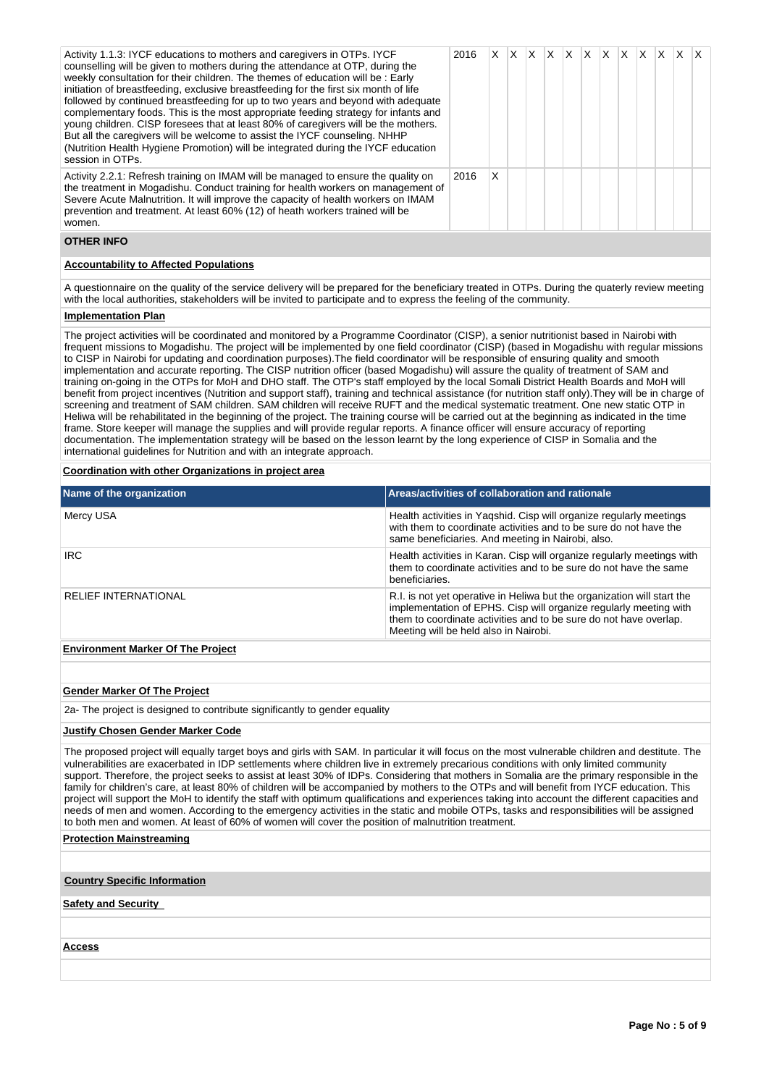| Activity 1.1.3: IYCF educations to mothers and caregivers in OTPs. IYCF<br>counselling will be given to mothers during the attendance at OTP, during the<br>weekly consultation for their children. The themes of education will be: Early<br>initiation of breastfeeding, exclusive breastfeeding for the first six month of life<br>followed by continued breastfeeding for up to two years and beyond with adequate<br>complementary foods. This is the most appropriate feeding strategy for infants and<br>young children. CISP foresees that at least 80% of caregivers will be the mothers.<br>But all the caregivers will be welcome to assist the IYCF counseling. NHHP<br>(Nutrition Health Hygiene Promotion) will be integrated during the IYCF education<br>session in OTPs. | 2016 | X. | ΙX. | IX. | $\mathsf{X}$ | $\mathsf{X}$ | ΙX. | <b>X</b> | <b>X</b> | X | $\times$ |  |
|-------------------------------------------------------------------------------------------------------------------------------------------------------------------------------------------------------------------------------------------------------------------------------------------------------------------------------------------------------------------------------------------------------------------------------------------------------------------------------------------------------------------------------------------------------------------------------------------------------------------------------------------------------------------------------------------------------------------------------------------------------------------------------------------|------|----|-----|-----|--------------|--------------|-----|----------|----------|---|----------|--|
| Activity 2.2.1: Refresh training on IMAM will be managed to ensure the quality on<br>the treatment in Mogadishu. Conduct training for health workers on management of<br>Severe Acute Malnutrition. It will improve the capacity of health workers on IMAM<br>prevention and treatment. At least 60% (12) of heath workers trained will be<br>women.                                                                                                                                                                                                                                                                                                                                                                                                                                      | 2016 | X  |     |     |              |              |     |          |          |   |          |  |

## **OTHER INFO**

## **Accountability to Affected Populations**

A questionnaire on the quality of the service delivery will be prepared for the beneficiary treated in OTPs. During the quaterly review meeting with the local authorities, stakeholders will be invited to participate and to express the feeling of the community.

## **Implementation Plan**

The project activities will be coordinated and monitored by a Programme Coordinator (CISP), a senior nutritionist based in Nairobi with frequent missions to Mogadishu. The project will be implemented by one field coordinator (CISP) (based in Mogadishu with regular missions to CISP in Nairobi for updating and coordination purposes).The field coordinator will be responsible of ensuring quality and smooth implementation and accurate reporting. The CISP nutrition officer (based Mogadishu) will assure the quality of treatment of SAM and training on-going in the OTPs for MoH and DHO staff. The OTP's staff employed by the local Somali District Health Boards and MoH will benefit from project incentives (Nutrition and support staff), training and technical assistance (for nutrition staff only).They will be in charge of screening and treatment of SAM children. SAM children will receive RUFT and the medical systematic treatment. One new static OTP in Heliwa will be rehabilitated in the beginning of the project. The training course will be carried out at the beginning as indicated in the time frame. Store keeper will manage the supplies and will provide regular reports. A finance officer will ensure accuracy of reporting documentation. The implementation strategy will be based on the lesson learnt by the long experience of CISP in Somalia and the international guidelines for Nutrition and with an integrate approach.

## **Coordination with other Organizations in project area**

| Name of the organization                 | Areas/activities of collaboration and rationale                                                                                                                                                                                                            |
|------------------------------------------|------------------------------------------------------------------------------------------------------------------------------------------------------------------------------------------------------------------------------------------------------------|
| Mercy USA                                | Health activities in Yagshid. Cisp will organize regularly meetings<br>with them to coordinate activities and to be sure do not have the<br>same beneficiaries. And meeting in Nairobi, also.                                                              |
| <b>IRC</b>                               | Health activities in Karan. Cisp will organize regularly meetings with<br>them to coordinate activities and to be sure do not have the same<br>beneficiaries.                                                                                              |
| <b>RELIEF INTERNATIONAL</b>              | R.I. is not yet operative in Heliwa but the organization will start the<br>implementation of EPHS. Cisp will organize regularly meeting with<br>them to coordinate activities and to be sure do not have overlap.<br>Meeting will be held also in Nairobi. |
| <b>Environment Marker Of The Project</b> |                                                                                                                                                                                                                                                            |

## **Gender Marker Of The Project**

2a- The project is designed to contribute significantly to gender equality

## **Justify Chosen Gender Marker Code**

The proposed project will equally target boys and girls with SAM. In particular it will focus on the most vulnerable children and destitute. The vulnerabilities are exacerbated in IDP settlements where children live in extremely precarious conditions with only limited community support. Therefore, the project seeks to assist at least 30% of IDPs. Considering that mothers in Somalia are the primary responsible in the family for children's care, at least 80% of children will be accompanied by mothers to the OTPs and will benefit from IYCF education. This project will support the MoH to identify the staff with optimum qualifications and experiences taking into account the different capacities and needs of men and women. According to the emergency activities in the static and mobile OTPs, tasks and responsibilities will be assigned to both men and women. At least of 60% of women will cover the position of malnutrition treatment.

## **Protection Mainstreaming**

**Country Specific Information**

## **Safety and Security**

**Access**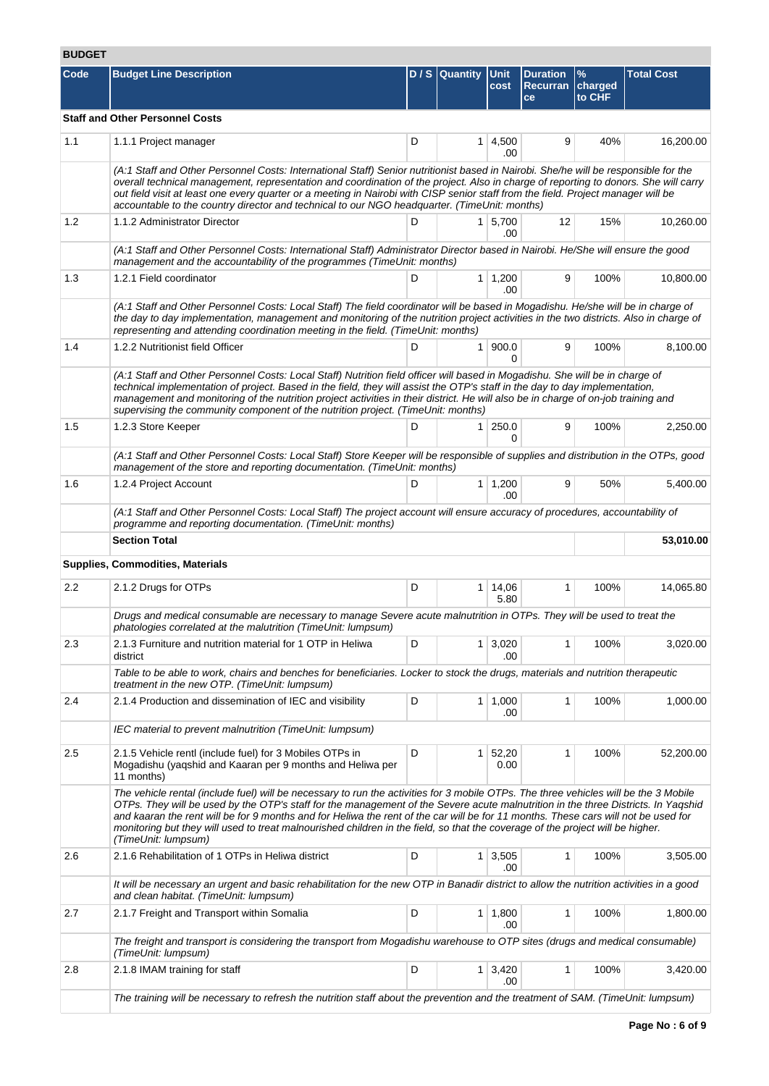## **BUDGET**

| Code | <b>Budget Line Description</b>                                                                                                                                                                                                                                                                                                                                                                                                                                                                                                                                           |   | $D / S$ Quantity | <b>Unit</b><br>cost          | <b>Duration</b><br><b>Recurran</b><br>ce | $\%$<br>charged<br>to CHF | <b>Total Cost</b> |
|------|--------------------------------------------------------------------------------------------------------------------------------------------------------------------------------------------------------------------------------------------------------------------------------------------------------------------------------------------------------------------------------------------------------------------------------------------------------------------------------------------------------------------------------------------------------------------------|---|------------------|------------------------------|------------------------------------------|---------------------------|-------------------|
|      | <b>Staff and Other Personnel Costs</b>                                                                                                                                                                                                                                                                                                                                                                                                                                                                                                                                   |   |                  |                              |                                          |                           |                   |
| 1.1  | 1.1.1 Project manager                                                                                                                                                                                                                                                                                                                                                                                                                                                                                                                                                    | D |                  | $1 \mid 4,500$<br>.00        | 9                                        | 40%                       | 16,200.00         |
|      | (A:1 Staff and Other Personnel Costs: International Staff) Senior nutritionist based in Nairobi. She/he will be responsible for the<br>overall technical management, representation and coordination of the project. Also in charge of reporting to donors. She will carry<br>out field visit at least one every quarter or a meeting in Nairobi with CISP senior staff from the field. Project manager will be<br>accountable to the country director and technical to our NGO headquarter. (TimeUnit: months)                                                          |   |                  |                              |                                          |                           |                   |
| 1.2  | 1.1.2 Administrator Director                                                                                                                                                                                                                                                                                                                                                                                                                                                                                                                                             | D |                  | 1   5,700<br>.00             | 12                                       | 15%                       | 10,260.00         |
|      | (A:1 Staff and Other Personnel Costs: International Staff) Administrator Director based in Nairobi. He/She will ensure the good<br>management and the accountability of the programmes (TimeUnit: months)                                                                                                                                                                                                                                                                                                                                                                |   |                  |                              |                                          |                           |                   |
| 1.3  | 1.2.1 Field coordinator                                                                                                                                                                                                                                                                                                                                                                                                                                                                                                                                                  | D |                  | $1 \mid 1,200$<br>.00        | 9                                        | 100%                      | 10,800.00         |
|      | (A:1 Staff and Other Personnel Costs: Local Staff) The field coordinator will be based in Mogadishu. He/she will be in charge of<br>the day to day implementation, management and monitoring of the nutrition project activities in the two districts. Also in charge of<br>representing and attending coordination meeting in the field. (TimeUnit: months)                                                                                                                                                                                                             |   |                  |                              |                                          |                           |                   |
| 1.4  | 1.2.2 Nutritionist field Officer                                                                                                                                                                                                                                                                                                                                                                                                                                                                                                                                         | D | 1 <sup>1</sup>   | 900.0<br>0                   | 9                                        | 100%                      | 8,100.00          |
|      | (A:1 Staff and Other Personnel Costs: Local Staff) Nutrition field officer will based in Mogadishu. She will be in charge of<br>technical implementation of project. Based in the field, they will assist the OTP's staff in the day to day implementation,<br>management and monitoring of the nutrition project activities in their district. He will also be in charge of on-job training and<br>supervising the community component of the nutrition project. (TimeUnit: months)                                                                                     |   |                  |                              |                                          |                           |                   |
| 1.5  | 1.2.3 Store Keeper                                                                                                                                                                                                                                                                                                                                                                                                                                                                                                                                                       | D | 1 <sup>1</sup>   | 250.0                        | 9                                        | 100%                      | 2,250.00          |
|      | (A:1 Staff and Other Personnel Costs: Local Staff) Store Keeper will be responsible of supplies and distribution in the OTPs, good<br>management of the store and reporting documentation. (TimeUnit: months)                                                                                                                                                                                                                                                                                                                                                            |   |                  |                              |                                          |                           |                   |
| 1.6  | 1.2.4 Project Account                                                                                                                                                                                                                                                                                                                                                                                                                                                                                                                                                    | D |                  | $1 \mid 1,200$<br>.00        | 9                                        | 50%                       | 5,400.00          |
|      | (A:1 Staff and Other Personnel Costs: Local Staff) The project account will ensure accuracy of procedures, accountability of<br>programme and reporting documentation. (TimeUnit: months)                                                                                                                                                                                                                                                                                                                                                                                |   |                  |                              |                                          |                           |                   |
|      | <b>Section Total</b>                                                                                                                                                                                                                                                                                                                                                                                                                                                                                                                                                     |   |                  |                              |                                          |                           | 53,010.00         |
|      | <b>Supplies, Commodities, Materials</b>                                                                                                                                                                                                                                                                                                                                                                                                                                                                                                                                  |   |                  |                              |                                          |                           |                   |
| 2.2  | 2.1.2 Drugs for OTPs                                                                                                                                                                                                                                                                                                                                                                                                                                                                                                                                                     | D |                  | $1 \mid 14,06$<br>5.80       | $\mathbf 1$                              | 100%                      | 14,065.80         |
|      | Drugs and medical consumable are necessary to manage Severe acute malnutrition in OTPs. They will be used to treat the<br>phatologies correlated at the malutrition (TimeUnit: lumpsum)                                                                                                                                                                                                                                                                                                                                                                                  |   |                  |                              |                                          |                           |                   |
| 2.3  | 2.1.3 Furniture and nutrition material for 1 OTP in Heliwa<br>district                                                                                                                                                                                                                                                                                                                                                                                                                                                                                                   | D |                  | $1 \mid 3,020$<br>.00        | 1                                        | 100%                      | 3,020.00          |
|      | Table to be able to work, chairs and benches for beneficiaries. Locker to stock the drugs, materials and nutrition therapeutic<br>treatment in the new OTP. (TimeUnit: lumpsum)                                                                                                                                                                                                                                                                                                                                                                                          |   |                  |                              |                                          |                           |                   |
| 2.4  | 2.1.4 Production and dissemination of IEC and visibility                                                                                                                                                                                                                                                                                                                                                                                                                                                                                                                 | D |                  | $1 \mid 1,000$<br>.00        | 1                                        | 100%                      | 1,000.00          |
|      | IEC material to prevent malnutrition (TimeUnit: lumpsum)                                                                                                                                                                                                                                                                                                                                                                                                                                                                                                                 |   |                  |                              |                                          |                           |                   |
| 2.5  | 2.1.5 Vehicle rentl (include fuel) for 3 Mobiles OTPs in<br>Mogadishu (yaqshid and Kaaran per 9 months and Heliwa per<br>11 months)                                                                                                                                                                                                                                                                                                                                                                                                                                      | D |                  | $1 \overline{52,20}$<br>0.00 | $\mathbf{1}$                             | 100%                      | 52,200.00         |
|      | The vehicle rental (include fuel) will be necessary to run the activities for 3 mobile OTPs. The three vehicles will be the 3 Mobile<br>OTPs. They will be used by the OTP's staff for the management of the Severe acute malnutrition in the three Districts. In Yaqshid<br>and kaaran the rent will be for 9 months and for Heliwa the rent of the car will be for 11 months. These cars will not be used for<br>monitoring but they will used to treat malnourished children in the field, so that the coverage of the project will be higher.<br>(TimeUnit: lumpsum) |   |                  |                              |                                          |                           |                   |
| 2.6  | 2.1.6 Rehabilitation of 1 OTPs in Heliwa district                                                                                                                                                                                                                                                                                                                                                                                                                                                                                                                        | D |                  | $1 \mid 3,505$<br>.00        | 1                                        | 100%                      | 3,505.00          |
|      | It will be necessary an urgent and basic rehabilitation for the new OTP in Banadir district to allow the nutrition activities in a good<br>and clean habitat. (TimeUnit: lumpsum)                                                                                                                                                                                                                                                                                                                                                                                        |   |                  |                              |                                          |                           |                   |
| 2.7  | 2.1.7 Freight and Transport within Somalia                                                                                                                                                                                                                                                                                                                                                                                                                                                                                                                               | D |                  | $1 \mid 1,800$<br>.00        | $\mathbf{1}$                             | 100%                      | 1,800.00          |
|      | The freight and transport is considering the transport from Mogadishu warehouse to OTP sites (drugs and medical consumable)<br>(TimeUnit: lumpsum)                                                                                                                                                                                                                                                                                                                                                                                                                       |   |                  |                              |                                          |                           |                   |
| 2.8  | 2.1.8 IMAM training for staff                                                                                                                                                                                                                                                                                                                                                                                                                                                                                                                                            | D |                  | $1 \mid 3,420$<br>.00        | $\mathbf{1}$                             | 100%                      | 3,420.00          |
|      | The training will be necessary to refresh the nutrition staff about the prevention and the treatment of SAM. (TimeUnit: lumpsum)                                                                                                                                                                                                                                                                                                                                                                                                                                         |   |                  |                              |                                          |                           |                   |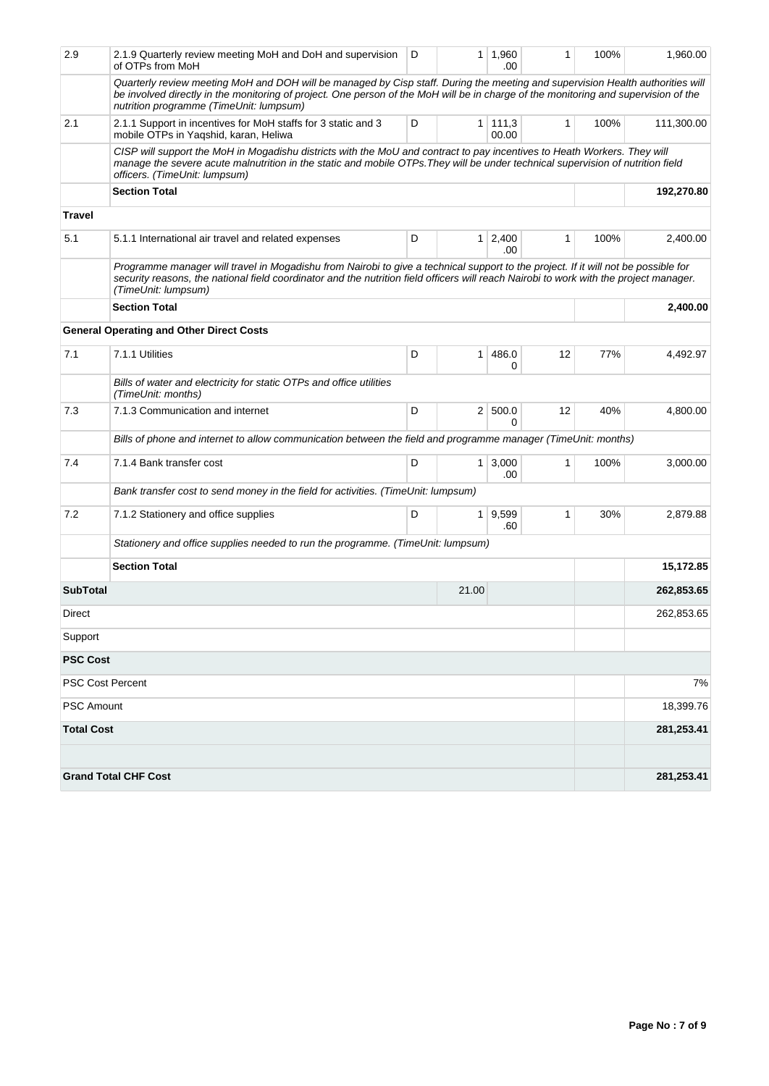| 2.9               | 2.1.9 Quarterly review meeting MoH and DoH and supervision<br>of OTPs from MoH                                                                                                                                                                                                                                   | D<br>$1 \mid 1,960$<br>.00 |                | 1                            | 100% | 1,960.00 |            |  |
|-------------------|------------------------------------------------------------------------------------------------------------------------------------------------------------------------------------------------------------------------------------------------------------------------------------------------------------------|----------------------------|----------------|------------------------------|------|----------|------------|--|
|                   | Quarterly review meeting MoH and DOH will be managed by Cisp staff. During the meeting and supervision Health authorities will<br>be involved directly in the monitoring of project. One person of the MoH will be in charge of the monitoring and supervision of the<br>nutrition programme (TimeUnit: lumpsum) |                            |                |                              |      |          |            |  |
| 2.1               | 2.1.1 Support in incentives for MoH staffs for 3 static and 3<br>mobile OTPs in Yaqshid, karan, Heliwa                                                                                                                                                                                                           | D                          | 1 <sup>1</sup> | 111,3<br>00.00               | 1    | 100%     | 111,300.00 |  |
|                   | CISP will support the MoH in Mogadishu districts with the MoU and contract to pay incentives to Heath Workers. They will<br>manage the severe acute malnutrition in the static and mobile OTPs. They will be under technical supervision of nutrition field<br>officers. (TimeUnit: lumpsum)                     |                            |                |                              |      |          |            |  |
|                   | <b>Section Total</b>                                                                                                                                                                                                                                                                                             |                            |                |                              |      |          | 192,270.80 |  |
| <b>Travel</b>     |                                                                                                                                                                                                                                                                                                                  |                            |                |                              |      |          |            |  |
| 5.1               | 5.1.1 International air travel and related expenses                                                                                                                                                                                                                                                              | D                          |                | $1 \overline{)2,400}$<br>.00 | 1    | 100%     | 2,400.00   |  |
|                   | Programme manager will travel in Mogadishu from Nairobi to give a technical support to the project. If it will not be possible for<br>security reasons, the national field coordinator and the nutrition field officers will reach Nairobi to work with the project manager.<br>(TimeUnit: lumpsum)              |                            |                |                              |      |          |            |  |
|                   | <b>Section Total</b>                                                                                                                                                                                                                                                                                             |                            |                | 2,400.00                     |      |          |            |  |
|                   | <b>General Operating and Other Direct Costs</b>                                                                                                                                                                                                                                                                  |                            |                |                              |      |          |            |  |
| 7.1               | 7.1.1 Utilities                                                                                                                                                                                                                                                                                                  | D                          | 1              | 486.0<br>0                   | 12   | 77%      | 4,492.97   |  |
|                   | Bills of water and electricity for static OTPs and office utilities<br>(TimeUnit: months)                                                                                                                                                                                                                        |                            |                |                              |      |          |            |  |
| 7.3               | 7.1.3 Communication and internet                                                                                                                                                                                                                                                                                 | D                          |                | 2 500.0<br>$\Omega$          | 12   | 40%      | 4,800.00   |  |
|                   | Bills of phone and internet to allow communication between the field and programme manager (TimeUnit: months)                                                                                                                                                                                                    |                            |                |                              |      |          |            |  |
| 7.4               | 7.1.4 Bank transfer cost                                                                                                                                                                                                                                                                                         | D                          | 1 <sup>1</sup> | 3,000<br>.00                 | 1    | 100%     | 3,000.00   |  |
|                   | Bank transfer cost to send money in the field for activities. (TimeUnit: lumpsum)                                                                                                                                                                                                                                |                            |                |                              |      |          |            |  |
| 7.2               | 7.1.2 Stationery and office supplies                                                                                                                                                                                                                                                                             | D                          | 1              | 9,599<br>.60                 | 1    | 30%      | 2,879.88   |  |
|                   | Stationery and office supplies needed to run the programme. (TimeUnit: lumpsum)                                                                                                                                                                                                                                  |                            |                |                              |      |          |            |  |
|                   | <b>Section Total</b>                                                                                                                                                                                                                                                                                             |                            |                |                              |      |          | 15,172.85  |  |
| <b>SubTotal</b>   |                                                                                                                                                                                                                                                                                                                  |                            | 262,853.65     |                              |      |          |            |  |
| Direct            |                                                                                                                                                                                                                                                                                                                  |                            |                |                              |      |          | 262,853.65 |  |
| Support           |                                                                                                                                                                                                                                                                                                                  |                            |                |                              |      |          |            |  |
| <b>PSC Cost</b>   |                                                                                                                                                                                                                                                                                                                  |                            |                |                              |      |          |            |  |
|                   | <b>PSC Cost Percent</b>                                                                                                                                                                                                                                                                                          |                            |                |                              |      |          | 7%         |  |
| <b>PSC Amount</b> |                                                                                                                                                                                                                                                                                                                  |                            |                |                              |      |          | 18,399.76  |  |
| <b>Total Cost</b> |                                                                                                                                                                                                                                                                                                                  |                            |                |                              |      |          | 281,253.41 |  |
|                   |                                                                                                                                                                                                                                                                                                                  |                            |                |                              |      |          |            |  |
|                   | <b>Grand Total CHF Cost</b>                                                                                                                                                                                                                                                                                      |                            |                |                              |      |          | 281,253.41 |  |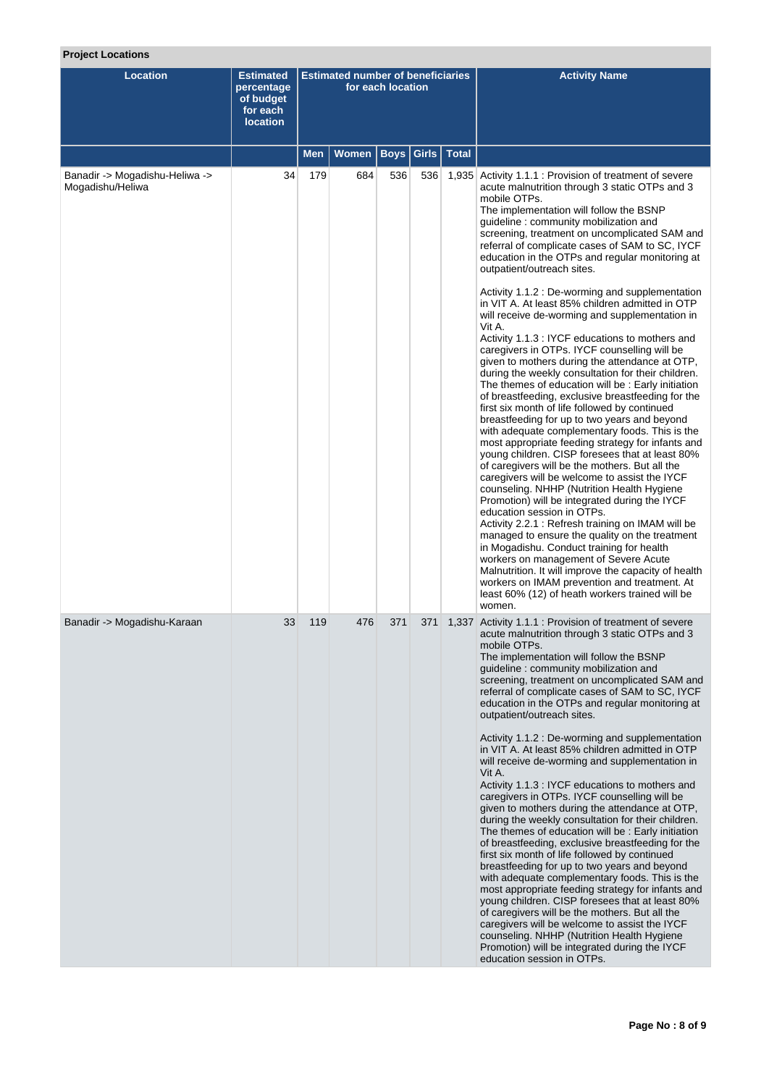## **Project Locations**

| <b>Location</b>                                    | <b>Estimated</b><br>percentage<br>of budget<br>for each<br><b>location</b> | <b>Estimated number of beneficiaries</b><br>for each location |       |      |               | <b>Activity Name</b>                                                                                                                                                                                                                                                                                                                                                                                                                                                                                                                                                                                                                                                                                                                                                                                                                                                                                                                                                                                                                                                                                                                                                                                                                                                                                                                                                                 |
|----------------------------------------------------|----------------------------------------------------------------------------|---------------------------------------------------------------|-------|------|---------------|--------------------------------------------------------------------------------------------------------------------------------------------------------------------------------------------------------------------------------------------------------------------------------------------------------------------------------------------------------------------------------------------------------------------------------------------------------------------------------------------------------------------------------------------------------------------------------------------------------------------------------------------------------------------------------------------------------------------------------------------------------------------------------------------------------------------------------------------------------------------------------------------------------------------------------------------------------------------------------------------------------------------------------------------------------------------------------------------------------------------------------------------------------------------------------------------------------------------------------------------------------------------------------------------------------------------------------------------------------------------------------------|
|                                                    |                                                                            | <b>Men</b>                                                    | Women | Boys | Girls   Total |                                                                                                                                                                                                                                                                                                                                                                                                                                                                                                                                                                                                                                                                                                                                                                                                                                                                                                                                                                                                                                                                                                                                                                                                                                                                                                                                                                                      |
| Banadir -> Mogadishu-Heliwa -><br>Mogadishu/Heliwa | 34                                                                         | 179                                                           | 684   | 536  |               | 536   1,935 Activity 1.1.1 : Provision of treatment of severe<br>acute malnutrition through 3 static OTPs and 3<br>mobile OTPs.<br>The implementation will follow the BSNP<br>quideline: community mobilization and<br>screening, treatment on uncomplicated SAM and<br>referral of complicate cases of SAM to SC, IYCF<br>education in the OTPs and regular monitoring at<br>outpatient/outreach sites.<br>Activity 1.1.2 : De-worming and supplementation<br>in VIT A. At least 85% children admitted in OTP                                                                                                                                                                                                                                                                                                                                                                                                                                                                                                                                                                                                                                                                                                                                                                                                                                                                       |
|                                                    |                                                                            |                                                               |       |      |               | will receive de-worming and supplementation in<br>Vit A.<br>Activity 1.1.3 : IYCF educations to mothers and<br>caregivers in OTPs. IYCF counselling will be<br>given to mothers during the attendance at OTP,<br>during the weekly consultation for their children.<br>The themes of education will be : Early initiation<br>of breastfeeding, exclusive breastfeeding for the<br>first six month of life followed by continued<br>breastfeeding for up to two years and beyond<br>with adequate complementary foods. This is the<br>most appropriate feeding strategy for infants and<br>young children. CISP foresees that at least 80%<br>of caregivers will be the mothers. But all the<br>caregivers will be welcome to assist the IYCF<br>counseling. NHHP (Nutrition Health Hygiene<br>Promotion) will be integrated during the IYCF<br>education session in OTPs.<br>Activity 2.2.1 : Refresh training on IMAM will be<br>managed to ensure the quality on the treatment<br>in Mogadishu. Conduct training for health<br>workers on management of Severe Acute<br>Malnutrition. It will improve the capacity of health<br>workers on IMAM prevention and treatment. At<br>least 60% (12) of heath workers trained will be<br>women.                                                                                                                                          |
| Banadir -> Mogadishu-Karaan                        | 33                                                                         | 119                                                           | 476   | 371  | 371           | 1,337 Activity 1.1.1 : Provision of treatment of severe<br>acute malnutrition through 3 static OTPs and 3<br>mobile OTPs.<br>The implementation will follow the BSNP<br>guideline: community mobilization and<br>screening, treatment on uncomplicated SAM and<br>referral of complicate cases of SAM to SC, IYCF<br>education in the OTPs and regular monitoring at<br>outpatient/outreach sites.<br>Activity 1.1.2 : De-worming and supplementation<br>in VIT A. At least 85% children admitted in OTP<br>will receive de-worming and supplementation in<br>Vit A.<br>Activity 1.1.3 : IYCF educations to mothers and<br>caregivers in OTPs. IYCF counselling will be<br>given to mothers during the attendance at OTP,<br>during the weekly consultation for their children.<br>The themes of education will be: Early initiation<br>of breastfeeding, exclusive breastfeeding for the<br>first six month of life followed by continued<br>breastfeeding for up to two years and beyond<br>with adequate complementary foods. This is the<br>most appropriate feeding strategy for infants and<br>young children. CISP foresees that at least 80%<br>of caregivers will be the mothers. But all the<br>caregivers will be welcome to assist the IYCF<br>counseling. NHHP (Nutrition Health Hygiene<br>Promotion) will be integrated during the IYCF<br>education session in OTPs. |